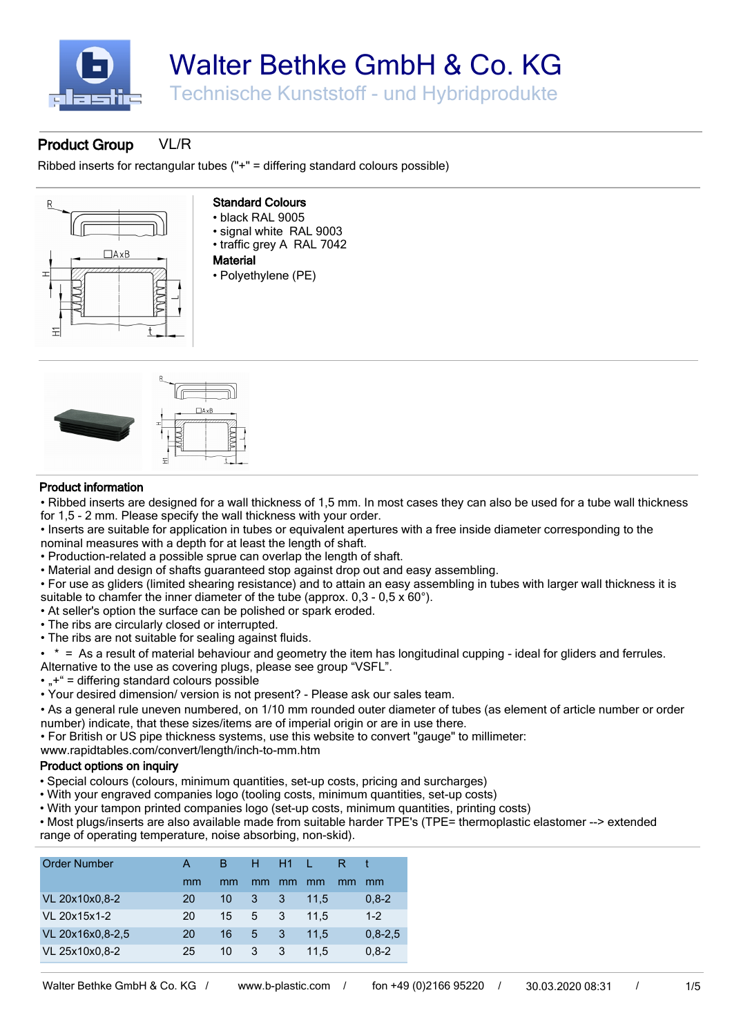

### **[Product Group](http://www.b-plastic.com/shop/en/gar/Produktgruppe/VL/R/32068)** [VL/R](http://www.b-plastic.com/shop/en/gar/Produktgruppe/VL/R/32068)

Ribbed inserts for rectangular tubes ("+" = differing standard colours possible)



### **Standard Colours**

- black RAL 9005
- signal white RAL 9003
- traffic grey A RAL 7042
- **Material**
- Polyethylene (PE)



#### **Product information**

• Ribbed inserts are designed for a wall thickness of 1,5 mm. In most cases they can also be used for a tube wall thickness for 1,5 - 2 mm. Please specify the wall thickness with your order.

• Inserts are suitable for application in tubes or equivalent apertures with a free inside diameter corresponding to the nominal measures with a depth for at least the length of shaft.

• Production-related a possible sprue can overlap the length of shaft.

- Material and design of shafts guaranteed stop against drop out and easy assembling.
- For use as gliders (limited shearing resistance) and to attain an easy assembling in tubes with larger wall thickness it is suitable to chamfer the inner diameter of the tube (approx.  $0.3 - 0.5 \times 60^{\circ}$ ).
- At seller's option the surface can be polished or spark eroded.
- The ribs are circularly closed or interrupted.
- The ribs are not suitable for sealing against fluids.

• \* = As a result of material behaviour and geometry the item has longitudinal cupping - ideal for gliders and ferrules.

Alternative to the use as covering plugs, please see group "VSFL".

- $\cdot$   $\cdot$   $\cdot$  = differing standard colours possible
- Your desired dimension/ version is not present? Please ask our sales team.
- As a general rule uneven numbered, on 1/10 mm rounded outer diameter of tubes (as element of article number or order number) indicate, that these sizes/items are of imperial origin or are in use there.
- For British or US pipe thickness systems, use this website to convert "gauge" to millimeter:

www.rapidtables.com/convert/length/inch-to-mm.htm

#### **Product options on inquiry**

- Special colours (colours, minimum quantities, set-up costs, pricing and surcharges)
- With your engraved companies logo (tooling costs, minimum quantities, set-up costs)
- With your tampon printed companies logo (set-up costs, minimum quantities, printing costs)

• Most plugs/inserts are also available made from suitable harder TPE's (TPE= thermoplastic elastomer --> extended range of operating temperature, noise absorbing, non-skid).

| Order Number |  |  |  |  |
|--------------|--|--|--|--|

| <b>UNGLINATION</b> |    |         |    | .  |      |    |             |
|--------------------|----|---------|----|----|------|----|-------------|
|                    | mm | mm      | mm | mm | mm   | mm | mm          |
| VL 20x10x0,8-2     | 20 | 10      | 3  | 3  | 11.5 |    | $0,8-2$     |
| VL 20x15x1-2       | 20 | 15      | 5  | 3  | 11.5 |    | $1 - 2$     |
| VL 20x16x0,8-2,5   | 20 | 16      | 5  | 3  | 11.5 |    | $0.8 - 2.5$ |
| VL 25x10x0,8-2     | 25 | $10 \,$ | 3  | 3  | 11.5 |    | $0,8-2$     |
|                    |    |         |    |    |      |    |             |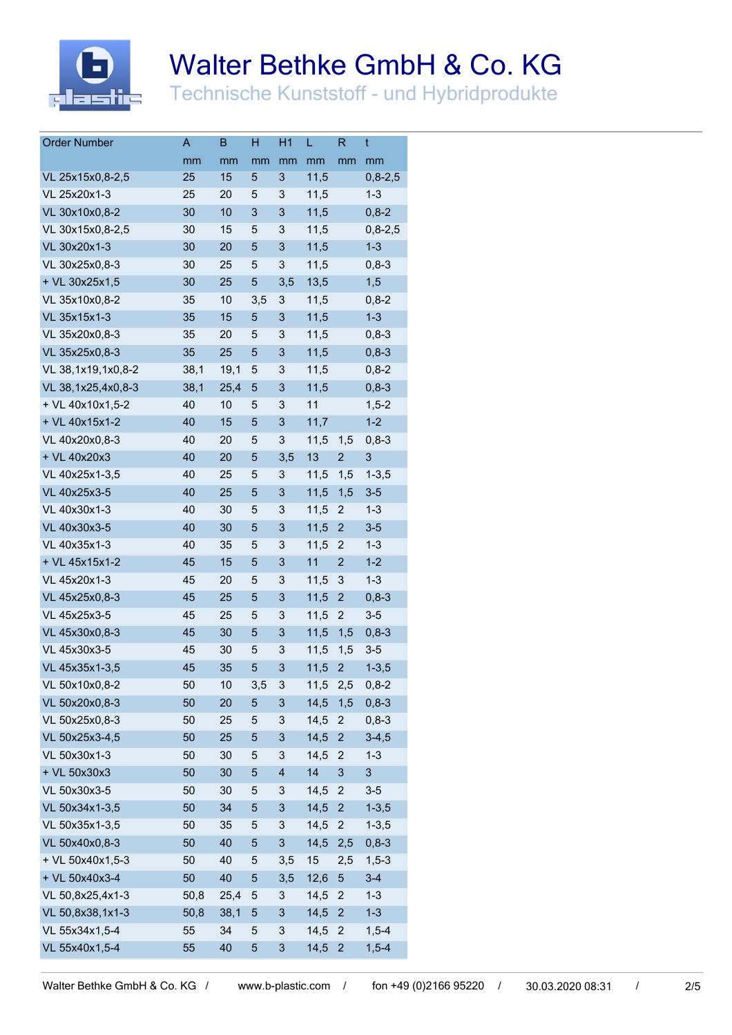

# Walter Bethke GmbH & Co. KG

Technische Kunststoff - und Hybridprodukte

| <b>Order Number</b> | A    | B    | H   | H1  | L    | R                         | t                         |
|---------------------|------|------|-----|-----|------|---------------------------|---------------------------|
|                     | mm   | mm   | mm  | mm  | mm   | mm                        | mm                        |
| VL 25x15x0,8-2,5    | 25   | 15   | 5   | 3   | 11,5 |                           | $0,8-2,5$                 |
| VL 25x20x1-3        | 25   | 20   | 5   | 3   | 11,5 |                           | $1 - 3$                   |
| VL 30x10x0,8-2      | 30   | 10   | 3   | 3   | 11,5 |                           | $0,8-2$                   |
| VL 30x15x0,8-2,5    | 30   | 15   | 5   | 3   | 11,5 |                           | $0,8-2,5$                 |
| VL 30x20x1-3        | 30   | 20   | 5   | 3   | 11,5 |                           | $1 - 3$                   |
| VL 30x25x0,8-3      | 30   | 25   | 5   | 3   | 11,5 |                           | $0,8-3$                   |
| + VL 30x25x1,5      | 30   | 25   | 5   | 3,5 | 13,5 |                           | 1,5                       |
| VL 35x10x0,8-2      | 35   | 10   | 3,5 | 3   | 11,5 |                           | $0,8-2$                   |
| VL 35x15x1-3        | 35   | 15   | 5   | 3   | 11,5 |                           | $1 - 3$                   |
| VL 35x20x0,8-3      | 35   | 20   | 5   | 3   | 11,5 |                           | $0,8-3$                   |
| VL 35x25x0,8-3      | 35   | 25   | 5   | 3   | 11,5 |                           | $0,8-3$                   |
| VL 38,1x19,1x0,8-2  | 38,1 | 19,1 | 5   | 3   | 11,5 |                           | $0,8-2$                   |
| VL 38,1x25,4x0,8-3  | 38,1 | 25,4 | 5   | 3   | 11,5 |                           | $0,8-3$                   |
| + VL 40x10x1,5-2    | 40   | 10   | 5   | 3   | 11   |                           | $1,5-2$                   |
| + VL 40x15x1-2      | 40   | 15   | 5   | 3   | 11,7 |                           | $1 - 2$                   |
| VL 40x20x0,8-3      | 40   | 20   | 5   | 3   | 11,5 | 1,5                       | $0,8-3$                   |
| + VL 40x20x3        | 40   | 20   | 5   | 3,5 | 13   | $\overline{c}$            | $\sqrt{3}$                |
| VL 40x25x1-3,5      | 40   | 25   | 5   | 3   | 11,5 | 1,5                       | $1 - 3, 5$                |
| VL 40x25x3-5        | 40   | 25   | 5   | 3   | 11,5 | 1,5                       | $3-5$                     |
| VL 40x30x1-3        | 40   | 30   | 5   | 3   | 11,5 | $\boldsymbol{2}$          | $1 - 3$                   |
| VL 40x30x3-5        | 40   | 30   | 5   | 3   | 11,5 | $\overline{c}$            | $3-5$                     |
| VL 40x35x1-3        | 40   | 35   | 5   | 3   | 11,5 | 2                         | $1 - 3$                   |
| + VL 45x15x1-2      | 45   | 15   | 5   | 3   | 11   | $\overline{2}$            | $1 - 2$                   |
| VL 45x20x1-3        | 45   | 20   | 5   | 3   | 11,5 | 3                         | $1 - 3$                   |
| VL 45x25x0,8-3      | 45   | 25   | 5   | 3   | 11,5 | $\overline{c}$            | $0,8-3$                   |
| VL 45x25x3-5        | 45   | 25   | 5   | 3   | 11,5 | $\boldsymbol{2}$          | $3-5$                     |
| VL 45x30x0,8-3      | 45   | 30   | 5   | 3   | 11,5 | 1,5                       | $0,8-3$                   |
| VL 45x30x3-5        | 45   | 30   | 5   | 3   | 11,5 | 1,5                       | $3-5$                     |
| VL 45x35x1-3,5      | 45   | 35   | 5   | 3   | 11,5 | $\overline{\mathbf{c}}$   | $1 - 3, 5$                |
| VL 50x10x0,8-2      | 50   | 10   | 3,5 | 3   | 11,5 | 2,5                       | $0,8-2$                   |
| VL 50x20x0,8-3      | 50   | 20   | 5   | 3   | 14,5 | 1,5                       | $0,8-3$                   |
| VL 50x25x0,8-3      | 50   | 25   | 5   | 3   | 14,5 | $\boldsymbol{2}$          | $0,8-3$                   |
| VL 50x25x3-4,5      | 50   | 25   | 5   | 3   | 14,5 | $\overline{c}$            | $3-4,5$                   |
| VL 50x30x1-3        | 50   | 30   | 5   | 3   | 14,5 | $\boldsymbol{2}$          | $1 - 3$                   |
| + VL 50x30x3        | 50   | 30   | 5   | 4   | 14   | $\ensuremath{\mathsf{3}}$ | $\ensuremath{\mathsf{3}}$ |
| VL 50x30x3-5        | 50   | 30   | 5   | 3   | 14,5 | $\sqrt{2}$                | $3-5$                     |
| VL 50x34x1-3,5      | 50   | 34   | 5   | 3   | 14,5 | $\overline{\mathbf{c}}$   | $1 - 3,5$                 |
| VL 50x35x1-3,5      | 50   | 35   | 5   | 3   | 14,5 | $\mathbf{2}$              | $1 - 3, 5$                |
| VL 50x40x0,8-3      | 50   | 40   | 5   | 3   | 14,5 | 2,5                       | $0,8-3$                   |
| + VL 50x40x1,5-3    | 50   | 40   | 5   | 3,5 | 15   | 2,5                       | $1,5-3$                   |
| + VL 50x40x3-4      | 50   | 40   | 5   | 3,5 | 12,6 | $\sqrt{5}$                | $3 - 4$                   |
| VL 50,8x25,4x1-3    | 50,8 | 25,4 | 5   | 3   | 14,5 | $\boldsymbol{2}$          | $1 - 3$                   |
| VL 50,8x38,1x1-3    | 50,8 | 38,1 | 5   | 3   | 14,5 | $\overline{c}$            | $1 - 3$                   |
| VL 55x34x1,5-4      | 55   | 34   | 5   | 3   | 14,5 | $\mathbf 2$               | $1,5-4$                   |
| VL 55x40x1,5-4      | 55   | 40   | 5   | 3   | 14,5 | $\overline{\mathbf{c}}$   | $1,5-4$                   |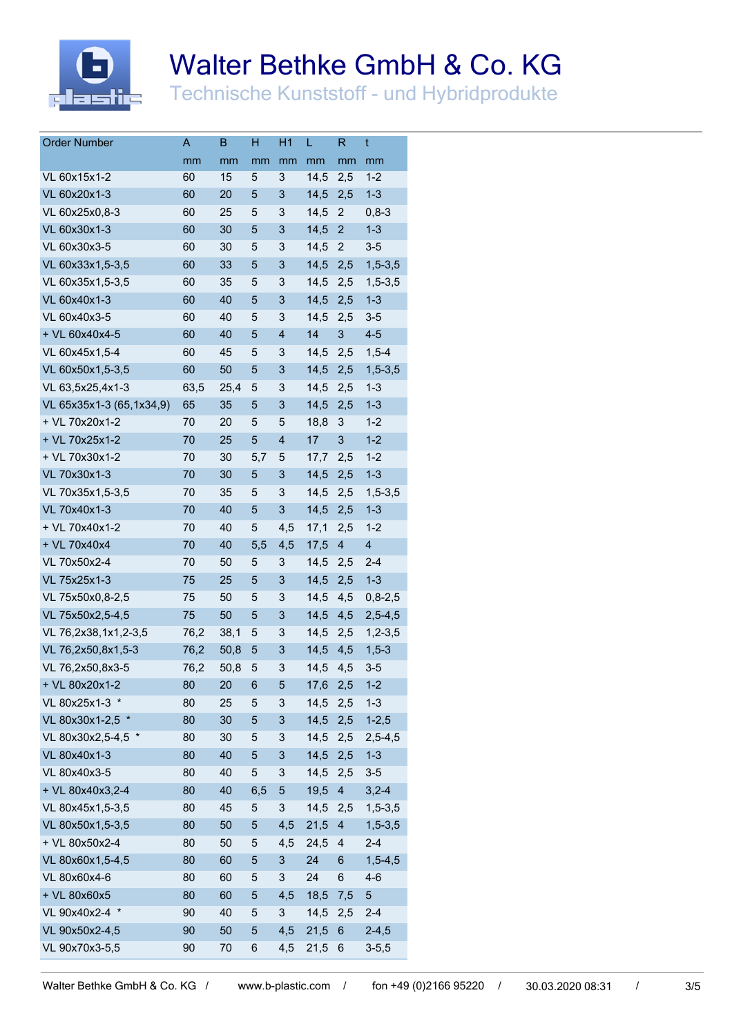

# Walter Bethke GmbH & Co. KG

Technische Kunststoff - und Hybridprodukte

| <b>Order Number</b>      | Α    | В    | H   | H1                      | L        | R              | t              |
|--------------------------|------|------|-----|-------------------------|----------|----------------|----------------|
|                          | mm   | mm   | mm  | mm                      | mm       | mm             | mm             |
| VL 60x15x1-2             | 60   | 15   | 5   | 3                       | 14,5     | 2,5            | $1 - 2$        |
| VL 60x20x1-3             | 60   | 20   | 5   | 3                       | 14,5     | 2,5            | $1 - 3$        |
| VL 60x25x0,8-3           | 60   | 25   | 5   | 3                       | 14,5     | 2              | $0,8-3$        |
| VL 60x30x1-3             | 60   | 30   | 5   | 3                       | 14,5     | $\overline{c}$ | $1 - 3$        |
| VL 60x30x3-5             | 60   | 30   | 5   | 3                       | 14,5     | $\overline{2}$ | $3-5$          |
| VL 60x33x1,5-3,5         | 60   | 33   | 5   | 3                       | 14,5     | 2,5            | $1,5-3,5$      |
| VL 60x35x1,5-3,5         | 60   | 35   | 5   | 3                       | 14,5     | 2,5            | $1,5-3,5$      |
| VL 60x40x1-3             | 60   | 40   | 5   | 3                       | 14,5     | 2,5            | $1 - 3$        |
| VL 60x40x3-5             | 60   | 40   | 5   | 3                       | 14,5     | 2,5            | $3-5$          |
| + VL 60x40x4-5           | 60   | 40   | 5   | $\overline{\mathbf{4}}$ | 14       | 3              | $4 - 5$        |
| VL 60x45x1,5-4           | 60   | 45   | 5   | 3                       | 14,5     | 2,5            | $1,5-4$        |
| VL 60x50x1,5-3,5         | 60   | 50   | 5   | 3                       | 14,5     | 2,5            | $1,5-3,5$      |
| VL 63,5x25,4x1-3         | 63,5 | 25,4 | 5   | 3                       | 14,5     | 2,5            | $1 - 3$        |
| VL 65x35x1-3 (65,1x34,9) | 65   | 35   | 5   | 3                       | 14,5     | 2,5            | $1 - 3$        |
| + VL 70x20x1-2           | 70   | 20   | 5   | 5                       | 18,8     | 3              | $1 - 2$        |
| + VL 70x25x1-2           | 70   | 25   | 5   | $\overline{\mathbf{4}}$ | 17       | 3              | $1 - 2$        |
| + VL 70x30x1-2           | 70   | 30   | 5,7 | 5                       | 17,7     | 2,5            | $1 - 2$        |
| VL 70x30x1-3             | 70   | 30   | 5   | 3                       | 14,5     | 2,5            | $1 - 3$        |
| VL 70x35x1,5-3,5         | 70   | 35   | 5   | 3                       | 14,5     | 2,5            | $1,5 - 3,5$    |
| VL 70x40x1-3             | 70   | 40   | 5   | 3                       | 14,5     | 2,5            | $1 - 3$        |
| + VL 70x40x1-2           | 70   | 40   | 5   | 4,5                     | 17,1     | 2,5            | $1 - 2$        |
| + VL 70x40x4             | 70   | 40   | 5,5 | 4,5                     | 17,5     | $\overline{4}$ | $\overline{4}$ |
| VL 70x50x2-4             | 70   | 50   | 5   | 3                       | 14,5     | 2,5            | $2 - 4$        |
| VL 75x25x1-3             | 75   | 25   | 5   | 3                       | 14,5     | 2,5            | $1 - 3$        |
| VL 75x50x0,8-2,5         | 75   | 50   | 5   | 3                       | 14,5     | 4,5            | $0,8-2,5$      |
| VL 75x50x2,5-4,5         | 75   | 50   | 5   | 3                       | 14,5     | 4,5            | $2,5-4,5$      |
| VL 76,2x38,1x1,2-3,5     | 76,2 | 38,1 | 5   | 3                       | 14,5     | 2,5            | $1, 2 - 3, 5$  |
| VL 76,2x50,8x1,5-3       | 76,2 | 50,8 | 5   | 3                       | 14,5     | 4,5            | $1,5-3$        |
| VL 76,2x50,8x3-5         | 76,2 | 50,8 | 5   | 3                       | 14,5     | 4,5            | $3-5$          |
| + VL 80x20x1-2           | 80   | 20   | 6   | 5                       | 17,6     | 2,5            | $1-2$          |
| VL 80x25x1-3 *           | 80   | 25   | 5   | 3                       | 14,5 2,5 |                | $1 - 3$        |
| VL 80x30x1-2,5 *         | 80   | 30   | 5   | 3                       | 14,5     | 2,5            | $1 - 2,5$      |
| VL 80x30x2,5-4,5 *       | 80   | 30   | 5   | 3                       | 14,5     | 2,5            | $2,5-4,5$      |
| VL 80x40x1-3             | 80   | 40   | 5   | 3                       | 14,5     | 2,5            | $1 - 3$        |
| VL 80x40x3-5             | 80   | 40   | 5   | 3                       | 14,5     | 2,5            | $3-5$          |
| + VL 80x40x3,2-4         | 80   | 40   | 6,5 | 5                       | 19,5     | $\overline{4}$ | $3,2-4$        |
| VL 80x45x1,5-3,5         | 80   | 45   | 5   | 3                       | 14,5     | 2,5            | $1,5-3,5$      |
| VL 80x50x1,5-3,5         | 80   | 50   | 5   | 4,5                     | 21,5     | $\overline{4}$ | $1,5-3,5$      |
| + VL 80x50x2-4           | 80   | 50   | 5   | 4,5                     | 24,5     | $\overline{4}$ | $2 - 4$        |
| VL 80x60x1,5-4,5         | 80   | 60   | 5   | 3                       | 24       | 6              | $1,5-4,5$      |
| VL 80x60x4-6             | 80   | 60   | 5   | 3                       | 24       | 6              | $4-6$          |
| + VL 80x60x5             | 80   | 60   | 5   | 4,5                     | 18,5     | 7,5            | $\sqrt{5}$     |
| VL 90x40x2-4 *           | 90   | 40   | 5   | 3                       | 14,5     | 2,5            | $2-4$          |
| VL 90x50x2-4,5           | 90   | 50   | 5   | 4,5                     | 21,5     | 6              | $2 - 4,5$      |
| VL 90x70x3-5,5           | 90   | 70   | 6   | 4,5                     | 21,5     | 6              | $3 - 5, 5$     |
|                          |      |      |     |                         |          |                |                |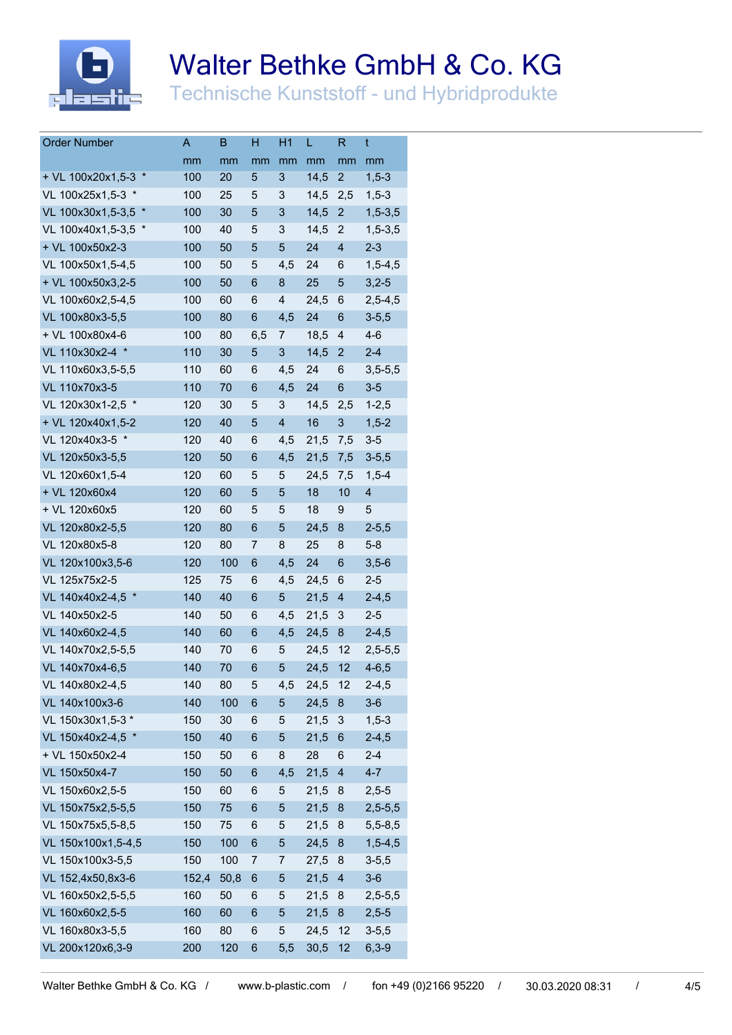

# Walter Bethke GmbH & Co. KG

Technische Kunststoff - und Hybridprodukte

| <b>Order Number</b>         | А     | В    | H              | H1                      | L    | R                         | t                       |
|-----------------------------|-------|------|----------------|-------------------------|------|---------------------------|-------------------------|
|                             | mm    | mm   | mm             | mm                      | mm   | mm                        | mm                      |
| $\ast$<br>+ VL 100x20x1,5-3 | 100   | 20   | 5              | 3                       | 14,5 | $\overline{2}$            | $1,5-3$                 |
| VL 100x25x1,5-3 *           | 100   | 25   | 5              | 3                       | 14,5 | 2,5                       | $1,5-3$                 |
| $\ast$<br>VL 100x30x1,5-3,5 | 100   | 30   | 5              | 3                       | 14,5 | $\overline{c}$            | $1,5-3,5$               |
| VL 100x40x1,5-3,5<br>$\ast$ | 100   | 40   | 5              | 3                       | 14,5 | $\overline{2}$            | $1,5-3,5$               |
| + VL 100x50x2-3             | 100   | 50   | 5              | 5                       | 24   | $\overline{4}$            | $2 - 3$                 |
| VL 100x50x1,5-4,5           | 100   | 50   | 5              | 4,5                     | 24   | 6                         | $1,5-4,5$               |
| + VL 100x50x3,2-5           | 100   | 50   | $6\phantom{1}$ | 8                       | 25   | 5                         | $3,2-5$                 |
| VL 100x60x2,5-4,5           | 100   | 60   | 6              | $\overline{\mathbf{4}}$ | 24,5 | 6                         | $2,5-4,5$               |
| VL 100x80x3-5,5             | 100   | 80   | $6\phantom{1}$ | 4,5                     | 24   | 6                         | $3 - 5, 5$              |
| + VL 100x80x4-6             | 100   | 80   | 6,5            | 7                       | 18,5 | $\overline{4}$            | $4 - 6$                 |
| VL 110x30x2-4 *             | 110   | 30   | 5              | 3                       | 14,5 | $\overline{2}$            | $2 - 4$                 |
| VL 110x60x3,5-5,5           | 110   | 60   | 6              | 4,5                     | 24   | 6                         | $3,5 - 5,5$             |
| VL 110x70x3-5               | 110   | 70   | 6              | 4,5                     | 24   | $6\phantom{1}6$           | $3-5$                   |
| VL 120x30x1-2,5 *           | 120   | 30   | 5              | 3                       | 14,5 | 2,5                       | $1 - 2,5$               |
| + VL 120x40x1,5-2           | 120   | 40   | 5              | $\overline{\mathbf{4}}$ | 16   | $\ensuremath{\mathsf{3}}$ | $1,5-2$                 |
| VL 120x40x3-5 *             | 120   | 40   | 6              | 4,5                     | 21,5 | 7,5                       | $3-5$                   |
| VL 120x50x3-5,5             | 120   | 50   | $6\phantom{1}$ | 4,5                     | 21,5 | 7,5                       | $3 - 5, 5$              |
| VL 120x60x1,5-4             | 120   | 60   | 5              | 5                       | 24,5 | 7,5                       | $1,5-4$                 |
| + VL 120x60x4               | 120   | 60   | 5              | 5                       | 18   | 10                        | $\overline{\mathbf{4}}$ |
| + VL 120x60x5               | 120   | 60   | 5              | 5                       | 18   | 9                         | 5                       |
| VL 120x80x2-5,5             | 120   | 80   | 6              | 5                       | 24,5 | 8                         | $2 - 5, 5$              |
| VL 120x80x5-8               | 120   | 80   | 7              | 8                       | 25   | 8                         | $5 - 8$                 |
| VL 120x100x3,5-6            | 120   | 100  | $6\phantom{1}$ | 4,5                     | 24   | $6\phantom{1}6$           | $3,5-6$                 |
| VL 125x75x2-5               | 125   | 75   | 6              | 4,5                     | 24,5 | 6                         | $2 - 5$                 |
| VL 140x40x2-4,5             | 140   | 40   | $\,6$          | 5                       | 21,5 | 4                         | $2 - 4,5$               |
| VL 140x50x2-5               | 140   | 50   | 6              | 4,5                     | 21,5 | 3                         | $2 - 5$                 |
| VL 140x60x2-4,5             | 140   | 60   | 6              | 4,5                     | 24,5 | 8                         | $2 - 4,5$               |
| VL 140x70x2,5-5,5           | 140   | 70   | 6              | 5                       | 24,5 | 12                        | $2,5 - 5,5$             |
| VL 140x70x4-6,5             | 140   | 70   | 6              | 5                       | 24,5 | 12                        | $4 - 6, 5$              |
| VL 140x80x2-4,5             | 140   | 80   | 5              | 4,5                     | 24,5 | 12                        | $2 - 4,5$               |
| VL 140x100x3-6              | 140   | 100  | 6              | 5                       | 24,5 | 8                         | $3-6$                   |
| VL 150x30x1,5-3 *           | 150   | 30   | 6              | 5                       | 21,5 | 3                         | $1,5-3$                 |
| VL 150x40x2-4,5 *           | 150   | 40   | 6              | 5                       | 21,5 | 6                         | $2 - 4,5$               |
| + VL 150x50x2-4             | 150   | 50   | 6              | 8                       | 28   | 6                         | $2 - 4$                 |
| VL 150x50x4-7               | 150   | 50   | 6              | 4,5                     | 21,5 | $\overline{\mathbf{4}}$   | $4 - 7$                 |
| VL 150x60x2,5-5             | 150   | 60   | 6              | 5                       | 21,5 | 8                         | $2,5-5$                 |
| VL 150x75x2,5-5,5           | 150   | 75   | 6              | $\overline{5}$          | 21,5 | 8                         | $2,5-5,5$               |
| VL 150x75x5,5-8,5           | 150   | 75   | 6              | 5                       | 21,5 | 8                         | $5,5-8,5$               |
| VL 150x100x1,5-4,5          | 150   | 100  | 6              | 5                       | 24,5 | 8                         | $1,5-4,5$               |
| VL 150x100x3-5,5            | 150   | 100  | 7              | 7                       | 27,5 | 8                         | $3 - 5, 5$              |
| VL 152,4x50,8x3-6           | 152,4 | 50,8 | 6              | $\overline{5}$          | 21,5 | $\overline{4}$            | $3-6$                   |
| VL 160x50x2,5-5,5           | 160   | 50   | 6              | 5                       | 21,5 | 8                         | $2,5 - 5,5$             |
| VL 160x60x2,5-5             | 160   | 60   | 6              | 5                       | 21,5 | 8                         | $2,5-5$                 |
| VL 160x80x3-5,5             | 160   | 80   | 6              | 5                       | 24,5 | 12                        | $3 - 5, 5$              |
| VL 200x120x6,3-9            | 200   | 120  | 6              | 5,5                     | 30,5 | 12                        | $6,3-9$                 |